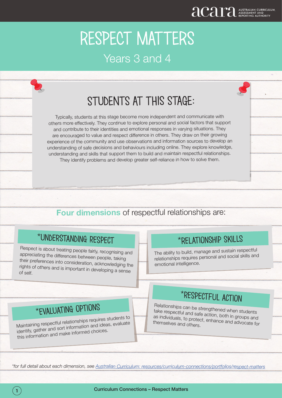# STUDENTS AT THIS STAGE:

Typically, students at this stage become more independent and communicate with others more effectively. They continue to explore personal and social factors that support and contribute to their identities and emotional responses in varying situations. They are encouraged to value and respect difference in others. They draw on their growing experience of the community and use observations and information sources to develop an understanding of safe decisions and behaviours including online. They explore knowledge, understanding and skills that support them to build and maintain respectful relationships. They identify problems and develop greater self-reliance in how to solve them.

#### **Four dimensions** of respectful relationships are:

### \*Understanding respect

Respect is about treating people fairly, recognising and appreciating the differences between people, taking their preferences into consideration, acknowledging the rights of others and is important in developing a sense of self.

#### \*Relationship skills

The ability to build, manage and sustain respectful relationships requires personal and social skills and emotional intelligence.

# \*evaluating options

Maintaining respectful relationships requires students to identify, gather and sort information and ideas, evaluate this information and make informed choices.

## \*respectful action

Relationships can be strengthened when students take respectful and safe action, both in groups and as individuals, to protect, enhance and advocate for themselves and others.

*\*for full detail about each dimension, see Australian Curriculum: resources/curriculum-connections/portfolios/respect-matters*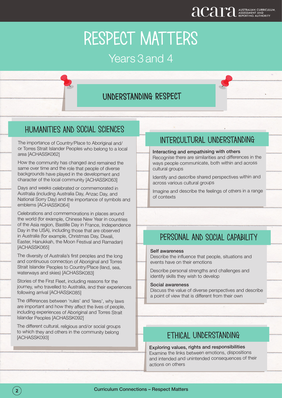### Years 3 and 4

#### understanding respect

#### Humanities and social sciences

The importance of Country/Place to Aboriginal and/ or Torres Strait Islander Peoples who belong to a local area [ACHASSK062]

How the community has changed and remained the same over time and the role that people of diverse backgrounds have played in the development and character of the local community [ACHASSK063]

Days and weeks celebrated or commemorated in Australia (including Australia Day, Anzac Day, and National Sorry Day) and the importance of symbols and emblems [ACHASSK064]

Celebrations and commemorations in places around the world (for example, Chinese New Year in countries of the Asia region, Bastille Day in France, Independence Day in the USA), including those that are observed in Australia (for example, Christmas Day, Diwali, Easter, Hanukkah, the Moon Festival and Ramadan) [ACHASSK065]

The diversity of Australia's first peoples and the long and continuous connection of Aboriginal and Torres Strait Islander Peoples to Country/Place (land, sea, waterways and skies) [ACHASSK083]

Stories of the First Fleet, including reasons for the journey, who travelled to Australia, and their experiences following arrival [ACHASSK085]

The differences between 'rules' and 'laws', why laws are important and how they affect the lives of people, including experiences of Aboriginal and Torres Strait Islander Peoples [ACHASSK092]

The different cultural, religious and/or social groups to which they and others in the community belong [ACHASSK093]

#### intercultural understanding

#### Interacting and empathising with others

Recognise there are similarities and differences in the ways people communicate, both within and across cultural groups

Identify and describe shared perspectives within and across various cultural groups

Imagine and describe the feelings of others in a range of contexts

#### personal and social capability

#### Self awareness

Describe the influence that people, situations and events have on their emotions

Describe personal strengths and challenges and identify skills they wish to develop

#### Social awareness

Discuss the value of diverse perspectives and describe a point of view that is different from their own

#### ethical understanding

Exploring values, rights and responsibilities Examine the links between emotions, dispositions and intended and unintended consequences of their actions on others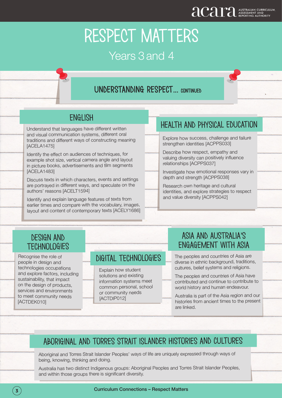Years 3 and 4

### understanding respect... continued

#### **ENGLISH**

Understand that languages have different written and visual communication systems, different oral traditions and different ways of constructing meaning [ACELA1475]

Identify the effect on audiences of techniques, for example shot size, vertical camera angle and layout in picture books, advertisements and film segments [ACELA1483]

Discuss texts in which characters, events and settings are portrayed in different ways, and speculate on the authors' reasons [ACELT1594]

Identify and explain language features of texts from earlier times and compare with the vocabulary, images, layout and content of contemporary texts [ACELY1686]

#### Health and physical education

Explore how success, challenge and failure strengthen identities [ACPPS033]

Describe how respect, empathy and valuing diversity can positively influence relationships [ACPPS037]

Investigate how emotional responses vary in depth and strength [ACPPS038]

Research own heritage and cultural identities, and explore strategies to respect and value diversity [ACPPS042]

Ļ

#### design and **TECHNOLOGIES**

Recognise the role of people in design and technologies occupations and explore factors, including sustainability, that impact on the design of products, services and environments to meet community needs [ACTDEK010]

 $\overline{\phantom{a}}$ 

#### digital technologies

Explain how student solutions and existing information systems meet common personal, school or community needs [ACTDIP012]

# Asia and australia's **ENGAGEMENT WITH ASIA**<br>The peoples and countries of Asia are

diverse in ethnic background, traditions, cultures, belief systems and religions.

The peoples and countries of Asia have contributed and continue to contribute to world history and human endeavour.

Australia is part of the Asia region and our histories from ancient times to the present are linked.

#### Aboriginal and torres strait islander histories and cultures

Aboriginal and Torres Strait Islander Peoples' ways of life are uniquely expressed through ways of being, knowing, thinking and doing.

Australia has two distinct Indigenous groups: Aboriginal Peoples and Torres Strait Islander Peoples, and within those groups there is significant diversity.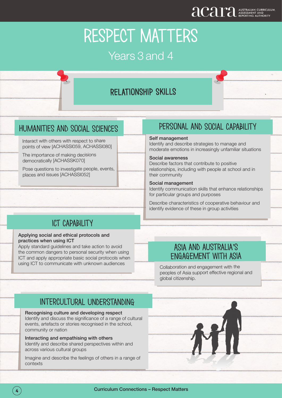### Years 3 and 4

#### relationship skills

#### humanities and social sciences

Interact with others with respect to share points of view [ACHASSI059, ACHASSI080]

The importance of making decisions democratically [ACHASSK070]

Pose questions to investigate people, events, places and issues [ACHASSI052]

#### personal and social capability

#### Self management

Identify and describe strategies to manage and moderate emotions in increasingly unfamiliar situations

#### Social awareness

Describe factors that contribute to positive relationships, including with people at school and in their community

#### Social management

Identify communication skills that enhance relationships for particular groups and purposes

Describe characteristics of cooperative behaviour and identify evidence of these in group activities

#### ict capability

#### Applying social and ethical protocols and practices when using ICT

Apply standard guidelines and take action to avoid the common dangers to personal security when using ICT and apply appropriate basic social protocols when using ICT to communicate with unknown audiences

#### Asia and australia's engagement with asia

Collaboration and engagement with the peoples of Asia support effective regional and global citizenship.

#### intercultural understanding

Recognising culture and developing respect

Identify and discuss the significance of a range of cultural events, artefacts or stories recognised in the school, community or nation

Interacting and empathising with others Identify and describe shared perspectives within and across various cultural groups

Imagine and describe the feelings of others in a range of contexts

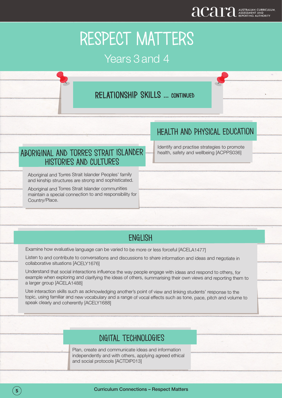### Years 3 and 4

#### relationship skills ... continued

#### Health and physical education

Aboriginal and torres strait islander histories and cultures

Aboriginal and Torres Strait Islander Peoples' family and kinship structures are strong and sophisticated.

Aboriginal and Torres Strait Islander communities maintain a special connection to and responsibility for Country/Place.

Identify and practise strategies to promote health, safety and wellbeing [ACPPS036]

#### **ENGLISH**

Examine how evaluative language can be varied to be more or less forceful [ACELA1477]

Listen to and contribute to conversations and discussions to share information and ideas and negotiate in collaborative situations [ACELY1676]

Understand that social interactions influence the way people engage with ideas and respond to others, for example when exploring and clarifying the ideas of others, summarising their own views and reporting them to a larger group [ACELA1488]

Use interaction skills such as acknowledging another's point of view and linking students' response to the topic, using familiar and new vocabulary and a range of vocal effects such as tone, pace, pitch and volume to speak clearly and coherently [ACELY1688]

#### digital technologies

Plan, create and communicate ideas and information independently and with others, applying agreed ethical and social protocols [ACTDIP013]

l,

ļ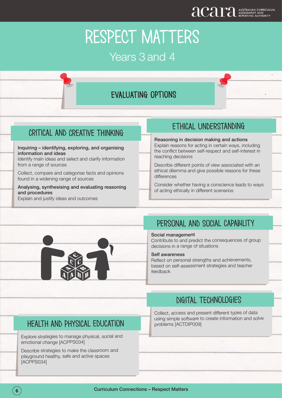### evaluating options

#### critical and creative thinking

Inquiring – identifying, exploring, and organising information and ideas

Identify main ideas and select and clarify information from a range of sources

Collect, compare and categorise facts and opinions found in a widening range of sources

Analysing, synthesising and evaluating reasoning and procedures Explain and justify ideas and outcomes

#### ethical understanding

Reasoning in decision making and actions Explain reasons for acting in certain ways, including the conflict between self-respect and self-interest in reaching decisions

Describe different points of view associated with an ethical dilemma and give possible reasons for these differences

Consider whether having a conscience leads to ways of acting ethically in different scenarios



### personal and social capability

#### Social management

Contribute to and predict the consequences of group decisions in a range of situations

#### Self awareness

Reflect on personal strengths and achievements, based on self-assessment strategies and teacher feedback

### digital technologies

Collect, access and present different types of data using simple software to create information and solve problems [ACTDIP009]

#### health and physical education

Explore strategies to manage physical, social and emotional change [ACPPS034]

Describe strategies to make the classroom and playground healthy, safe and active spaces [ACPPS034]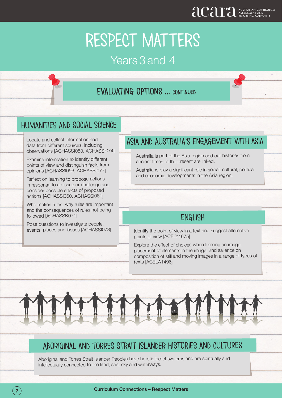### evaluating options ... continued

 $\overline{\phantom{a}}$ 

 $\overline{a}$ 

#### humanities and social science

Locate and collect information and data from different sources, including observations [ACHASSI053, ACHASSI074]

Examine information to identify different points of view and distinguish facts from opinions [ACHASSI056, ACHASSI077]

Reflect on learning to propose actions in response to an issue or challenge and consider possible effects of proposed actions [ACHASSI060, ACHASSI081]

Who makes rules, why rules are important and the consequences of rules not being followed [ACHASSK071]

Pose questions to investigate people, events, places and issues [ACHASSI073]

֦

#### Asia and australia's engagement with asia

Australia is part of the Asia region and our histories from ancient times to the present are linked.

Australians play a significant role in social, cultural, political and economic developments in the Asia region.

#### **ENGLISH**

Identify the point of view in a text and suggest alternative points of view [ACELY1675]

Explore the effect of choices when framing an image, placement of elements in the image, and salience on composition of still and moving images in a range of types of texts [ACELA1496]

#### Aboriginal and torres strait islander histories and cultures

Aboriginal and Torres Strait Islander Peoples have holistic belief systems and are spiritually and intellectually connected to the land, sea, sky and waterways.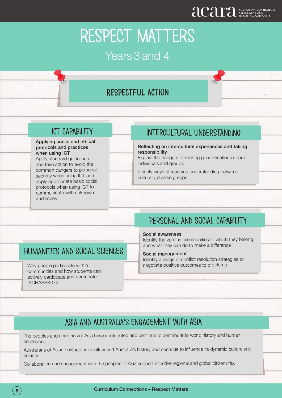### respectful action

#### ict capability

#### Applying social and ethical protocols and practices when using ICT

Apply standard guidelines and take action to avoid the common dangers to personal security when using ICT and apply appropriate basic social protocols when using ICT to communicate with unknown audiences

#### Intercultural understanding

Reflecting on intercultural experiences and taking responsibility

Explain the dangers of making generalisations about individuals and groups

Identify ways of reaching understanding between culturally diverse groups

### Personal and social capability

#### Social awareness

Identify the various communities to which they belong and what they can do to make a difference

#### Social management

Identify a range of conflict resolution strategies to negotiate positive outcomes to problems

#### humanities and social sciences

Why people participate within communities and how students can actively participate and contribute [ACHASSK072]

֦

#### Asia and australia's engagement with asia

The peoples and countries of Asia have contributed and continue to contribute to world history and human endeavour.

Australians of Asian heritage have influenced Australia's history and continue to influence its dynamic culture and society.

Collaboration and engagement with the peoples of Asia support effective regional and global citizenship.